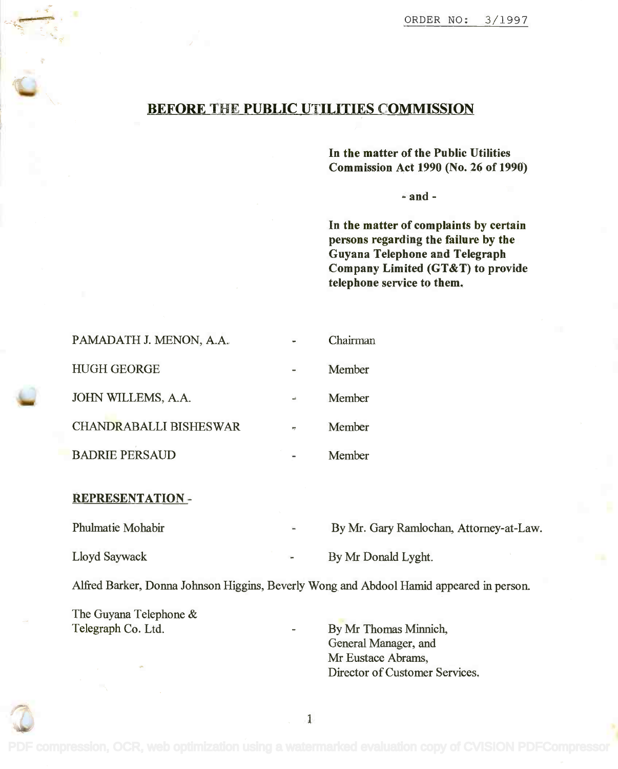## BEFORE THE PUBLIC UTILITIES COMMISSION

In the matter of the Public Utilities In the matter of the Public Utilities Commission Act 1990 (No. 26 of 1990) Commission Act 1990 (No. 26 of 1990)

- and -

In the matter of complaints by certain In the matter of complaints by certain persons regarding the failure by the persons regarding the failure by the Guyana Telephone and Telegraph Guyana Telephone and Telegraph Company Limited (GT&T) to provide Company Limited (GT&T) to provide telephone service to them. telephone service to them.

| PAMADATH J. MENON, A.A.       |     | Chairman |
|-------------------------------|-----|----------|
| <b>HUGH GEORGE</b>            |     | Member   |
| JOHN WILLEMS, A.A.            | uê. | Member   |
| <b>CHANDRABALLI BISHESWAR</b> |     | Member   |
| <b>BADRIE PERSAUD</b>         |     | Member   |

## REPRESENTATION -

Phulmatie Mohabir

By Mr. Gary Ramlochan, Attorney-at-Law.

Lloyd Saywack

By Mr Donald Lyght.

Alfred Barker, Donna Johnson Higgins, Beverly Wong and Abdool Hamid appeared in person.

The Guyana Telephone & The Guyana Telephone & Telegraph Co. Ltd.

Telegraph Co. Ltd. **By Mr Thomas Minnich**, General Manager, and General Manager, and Mr Eustace Abrams, Mr Eustace Abrams, Director of Customer Services. Director of Customer Services.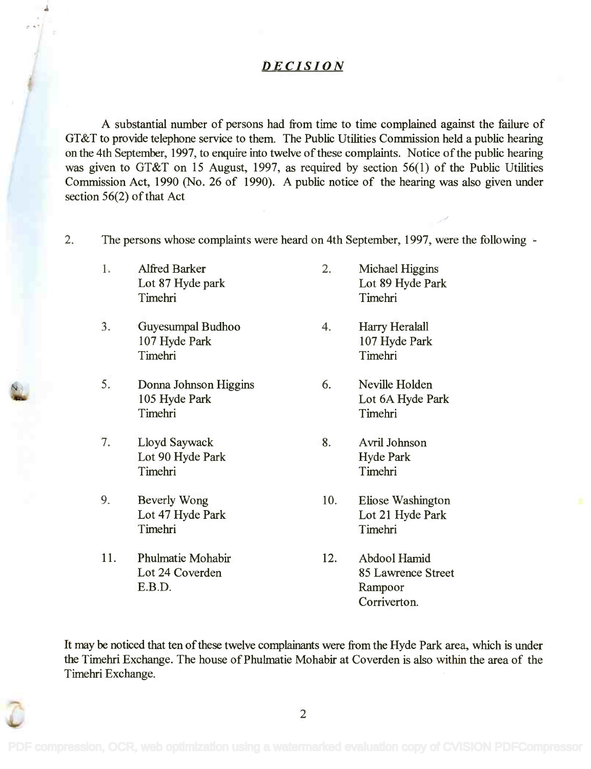## **DECISION**

A substantial number of persons had from time to time complained against the failure of A substantial number of persons had from time to time complained against the failure of GT&T to provide telephone service to them. The Public Utilities Commission held a public hearing GT&T to provide telephone service to them. The Public Utilities Commission held a public hearing on the 4th September, 1997, to enquire into twelve of these complaints. Notice of the public hearing on the 4th September, 1997, to enquire into twelve ofthese complaints. Notice of the public hearing was given to GT&T on 15 August, 1997, as required by section 56(1) of the Public Utilities was given to GT&T on 15 August, 1997, as required by section 56(1) of the Public Utilities Commission Act, 1990 (No. 26 of 1990). A public notice of the hearing was also given under Commission Act, 1990 (No. 26 of 1990). A public notice of the hearing was also given under section 56(2) of that Act section 56(2) of that Act

- 2. The persons whose complaints were heard on 4th September, 1997, were the following 2. The persons whose complaints were heard on 4th September, 1997, were the following
	- Timehri
	- 3. Guyesumpal Budhoo 4. Harry Heralall 3. Guyesumpal Budhoo 4. Harry Heralall 107 Hyde Park 107 Hyde Park Timehri
- 5. Donna Johnson Higgins 6. Neville Holden N~ 5. Donna Johnson Higgins 6. Neville Holden Timehri Timehri Timehri Timehri
	- 7. Lloyd Saywack 8. Avril Johnson 7. Lloyd Saywack 8. Avril Johnson Timehri
	- 9. Beverly Wong 10. Eliose Washington 9. Beverly Wong 10. Eliose Washington
	- 11. Phulmatie Mohabir 12. Abdool Hamid 11. Phulmatie Mohabir 12. Abdool Hamid
- 1. Alfred Barker 2. Michael Higgins 1. Alfred Barker 2. Michael Higgins Lot 87 Hyde park Lot 89 Hyde Park Lot 87 Hyde park Lot 89 Hyde Park Timehri
	- 107 Hyde Park 107 Hyde Park Timehri
	- 105 Hyde Park Lot 6A Hyde Park 105 Hyde Park Lot 6A Hyde Park
	- Lot 90 Hyde Park **Hyde Park** Timehri
	- Lot 47 Hyde Park Lot 21 Hyde Park Lot 47 Hyde Park Lot 21 Hyde Park Timehri Timehri Timehri Timehri
	- Lot 24 Coverden 85 Lawrence Street E.B.D. Rampoor Corriverton. Corriverton.

It may be noticed that ten of these twelve complainants were from the Hyde Park area, which is under It may be noticed that ten of these twelve complainants were from the Hyde Park area, which is under the Timehri Exchange. The house of Phulmatie Mohabir at Coverden is also within the area of the Timehri Exchange. Timehri Exchange.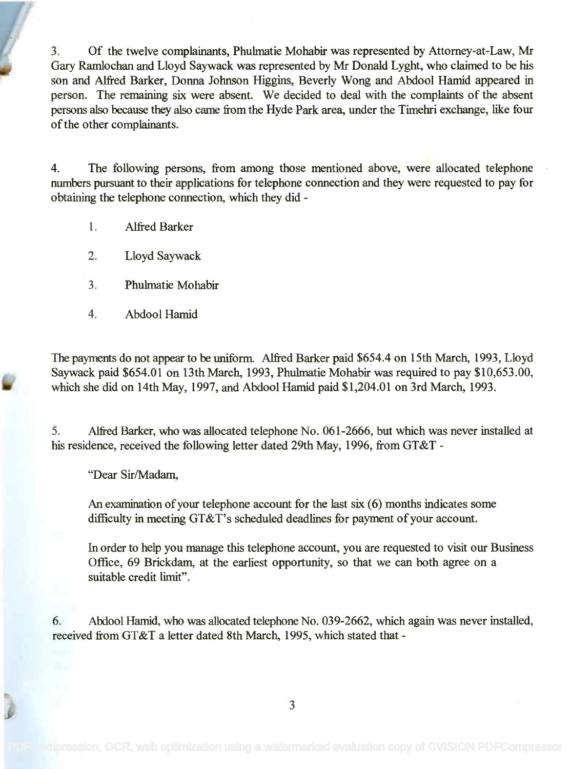3. Of the twelve complainants, Phulmatie Mohabir was represented by Attorney-at-Law, Mr 3. Of the twelve complainants, Phulmatie Mohabir was represented by Attorney-at-Law, Mr Gary Ramlochan and Lloyd Saywack was represented by Mr Donald Lyght, who claimed to be his Gary Ramlochan and Lloyd Saywack was represented by Mr Donald Lyght, who claimed to be his son and Alfred Barker, Donna Johnson Higgins, Beverly Wong and Abdool Hamid appeared in son and Alfred Barker, Donna Johnson Higgins, Beverly Wong and Abdool Hamid appeared in person. The remaining six were absent. We decided to deal with the complaints of the absent person. The remaining six were absent. We decided to deal with the complaints of the absent persons also because they also came from the Hyde Park area, under the Timehri exchange, like four persons also because they also came from the Hyde Park area, under the Timehri exchange, like four of the other complainants. of the other complainants.

4. The following persons, from among those mentioned above, were allocated telephone 4. The following persons, from among those mentioned above, were allocated telephone numbers pursuant to their applications for telephone connection and they were requested to pay for numbers pursuant to their applications for telephone connection and they were requested to pay for obtaining the telephone connection, which they did -

- 1. Alfred Barker
- 2. Lloyd Saywack
- 3. Phulmatie Mohabir
- 4. Abdool Hamid

The payments do not appear to be uniform. Alfred Barker paid \$654.4 on 15th March, 1993, Lloyd The payments do not appear to be uniform. Alfred Barker paid \$654.4 on 15th March, 1993, Lloyd Saywack paid \$654.01 on 13th March, 1993, Phulmatie Mohabir was required to pay \$10,653.00, Saywack paid \$654.01 on 13th March, 1993, Phulmatie Mohabir was required to pay \$10,653.00, which she did on 14th May, 1997, and Abdool Hamid paid \$1,204.01 on 3rd March, 1993. which she did on 14th May, 1997, and Abdool Hamid paid \$1,204.01 on 3rd March, 1993.

5. Alfred Barker, who was allocated telephone No. 061-2666, but which was never installed at 5. Alfred Barker, who was allocated telephone No. 061-2666, but which was never installed at his residence, received the following letter dated 29th May, 1996, from GT&T -

"Dear Sir/Madam,

An examination of your telephone account for the last six (6) months indicates some An examination of your telephone account for the last six (6) months indicates some difficulty in meeting GT&T's scheduled deadlines for payment of your account. difficulty in meeting GT&T's scheduled deadlines for payment of your account.

In order to help you manage this telephone account, you are requested to visit our Business In order to help you manage this telephone account, you are requested to visit our Business Office, 69 Brickdam, at the earliest opportunity, so that we can both agree on a Office, 69 Brickdam, at the earliest opportunity, so that we can both agree on a suitable credit limit". suitable credit limit".

6. Abdool Hamid, who was allocated telephone No. 039-2662, which again was never installed, 6. Abdool Hamid, who was allocated telephone No. 039-2662, which again was never installed, received from GT&T a letter dated 8th March, 1995, which stated that -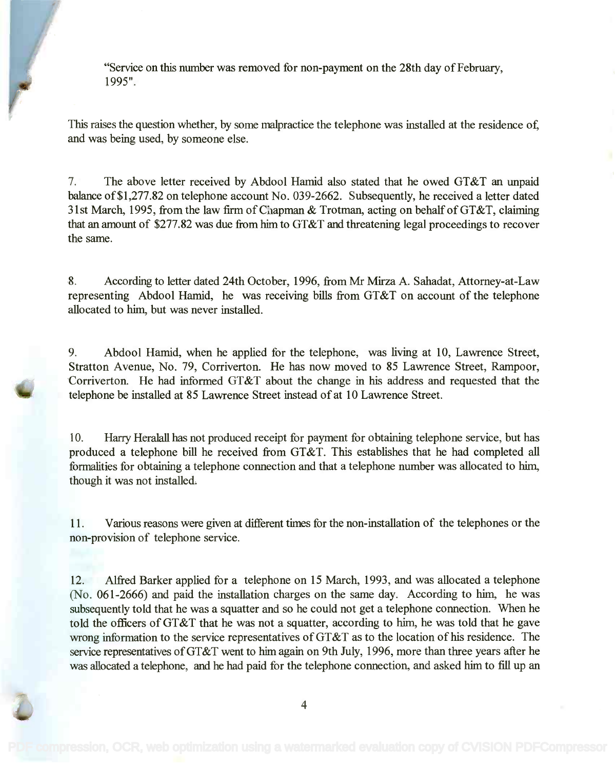"Service on this number was removed for non-payment on the 28th day of February, "Service on this number was removed for non-payment on the 28th day of February, 1995". 1995".

This raises the question whether, by some malpractice the telephone was installed at the residence of, This raises the question whether, by some malpractice the telephone was installed at the residence of, and was being used, by someone else. and was being used, by someone else.

7. The above letter received by Abdool Hamid also stated that he owed GT&T an unpaid 7. The above letter received by Abdool Hamid also stated that he owed GT&T an unpaid balance of \$1,277.82 on telephone account No. 039-2662. Subsequently, he received a letter dated balance of\$I,277.82 on telephone account No. 039-2662. Subsequently, he received a letter dated 31st March, 1995, from the law firm of Chapman & Trotman, acting on behalf of GT&T, claiming 31st March, 1995, from the law firm of Chapman & Trotman, acting on behalf of GT&T, claiming that an amount of \$277.82 was due from him to GT&T and threatening legal proceedings to recover that an amount of \$277.82 was due from him to GT&T and threatening legal proceedings to recover the same. the same.

8. According to letter dated 24th October, 1996, from Mr Mirza A. Sahadat, Attorney-at-Law representing Abdool Hamid, he was receiving bills from GT&T on account of the telephone representing Abdool Hamid, he was receiving bills from GT&T on account of the telephone allocated to him, but was never installed. allocated to him, but was never installed.

9. Abdool Hamid, when he applied for the telephone, was living at 10, Lawrence Street, 9. Abdool Hamid, when he applied for the telephone, was living at 10, Lawrence Street, Stratton Avenue, No. 79, Corriverton. He has now moved to 85 Lawrence Street, Rampoor, Stratton Avenue, No. 79, Corriverton. He has now moved to 85 Lawrence Street, Rampoor, Corriverton. He had informed GT&T about the change in his address and requested that the Corriverton. He had informed GT&T about the change in his address and requested that the telephone be installed at 85 Lawrence Street instead of at 10 Lawrence Street. telephone be installed at 85 Lawrence Street instead of at 10 Lawrence Street.

10. Harry Heralall has not produced receipt for payment for obtaining telephone service, but has 10. Harry Heralall has not produced receipt for payment for obtaining telephone service, but has produced a telephone bill he received from GT&T. This establishes that he had completed all produced a telephone bill he received from GT&T. This establishes that he had completed all formalities for obtaining a telephone connection and that a telephone number was allocated to him, formalities for obtaining a telephone connection and that a telephone number was allocated to him, though it was not installed. though it was not installed.

11. Various reasons were given at different times for the non-installation of the telephones or the 11. Various reasons were given at different times for the non-installation of the telephones or the non-provision of telephone service. non-provision of telephone service.

12. Alfred Barker applied for a telephone on 15 March, 1993, and was allocated a telephone 12. Alfred Barker applied for a telephone on 15 March, 1993, and was allocated a telephone (No. 061-2666) and paid the installation charges on the same day. According to him, he was (No. 061-2666) and paid the installation charges on the same day. According to him, he was subsequently told that he was a squatter and so he could not get a telephone connection. When he subsequently told that he was a squatter and so he could not get a telephone connection. When he told the officers of GT&T that he was not a squatter, according to him, he was told that he gave wrong information to the service representatives of GT&T as to the location of his residence. The wrong information to the service representatives of GT&T as to the location of his residence. The service representatives of GT&T went to him again on 9th July, 1996, more than three years after he service representatives of GT&T went to him again on 9th July, 1996, more than three years after he was allocated a telephone, and he had paid for the telephone connection, and asked him to fill up an was allocated a telephone, and he had paid for the telephone connection, and asked him to fill up an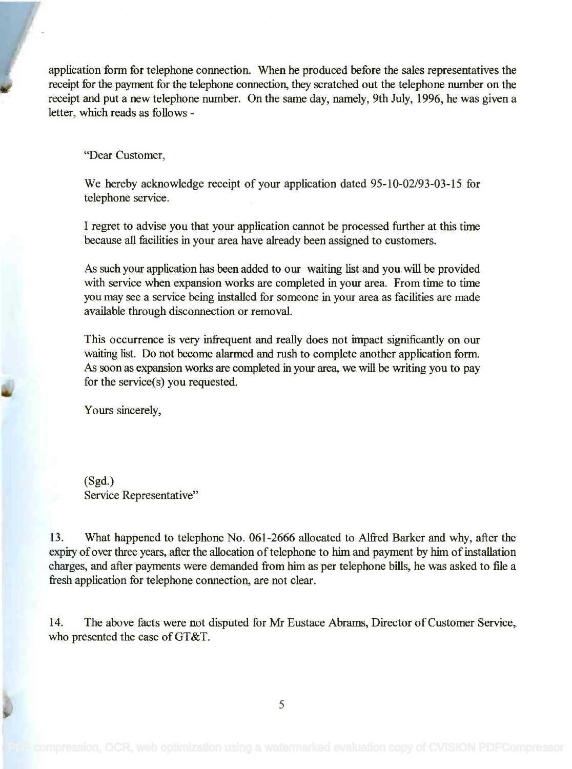application form for telephone connection. When he produced before the sales representatives the application form for telephone connection. When he produced before the sales representatives the receipt for the payment for the telephone connection, they scratched out the telephone number on the<br>receipt and nut a nexutalenhana number. On the same day namely, 0th like 1006, he was since a receipt and put a new telephone number. On the same day, namely, 9th July, 1996, he was given a receipt and put a new telephone number. On the same day, namely, 9th July, 1996, he was given a letter, which reads as follows letter, which reads as follows -

"Dear Customer,

We hereby acknowledge receipt of your application dated 95-10-02/93-03-15 for We hereby acknowledge receipt of your application dated 95-10-02/93-03-15 for telephone service. telephone service.

I regret to advise you that your application cannot be processed further at this time I regret to advise you that your application cannot be processed further at this time because all facilities in your area have already been assigned to customers. because all facilities in your area have already been assigned to customers.

As such your application has been added to our waiting list and you will be provided As such your application has been added to our waiting list and you will be provided with service when expansion works are completed in your area. From time to time with service when expansion works are completed in your area. From time to time you may see a service being installed for someone in your area as facilities are made available through disconnection or removal. available through disconnection or removal.

This occurrence is very infrequent and really does not impact significantly on our This occurrence is very infrequent and really does not impact significantly on our waiting list. Do not become alarmed and rush to complete another application form. waiting list. Do not become alarmed and rush to complete another application form. As soon as expansion works are completed in your area, we will be writing you to pay As soon as expansion works are completed in your area, we will be writing you to pay for the service(s) you requested.

Yours sincerely,

(Sgd.) (Sgd.) Service Representative" Service Representative"

13. What happened to telephone No. 061-2666 allocated to Alfred Barker and why, after the 13. What happened to telephone No. 061-2666 allocated to Alfred Barker and why, after the expiry of over three years, after the allocation of telephone to him and payment by him of installation expiry of over three years, after the allocation of telephone to him and payment by him of installation charges, and after payments were demanded from him as per telephone bills, he was asked to file a charges, and after payments were demanded from him as per telephone bills, he was asked to file a fresh application for telephone connection, are not clear. fresh application for telephone connection, are not clear.

14. The above facts were not disputed for Mr Eustace Abrams, Director of Customer Service, 14. The above facts were not disputed for Mr Eustace Abrams, Director of Customer Service, who presented the case of GT&T.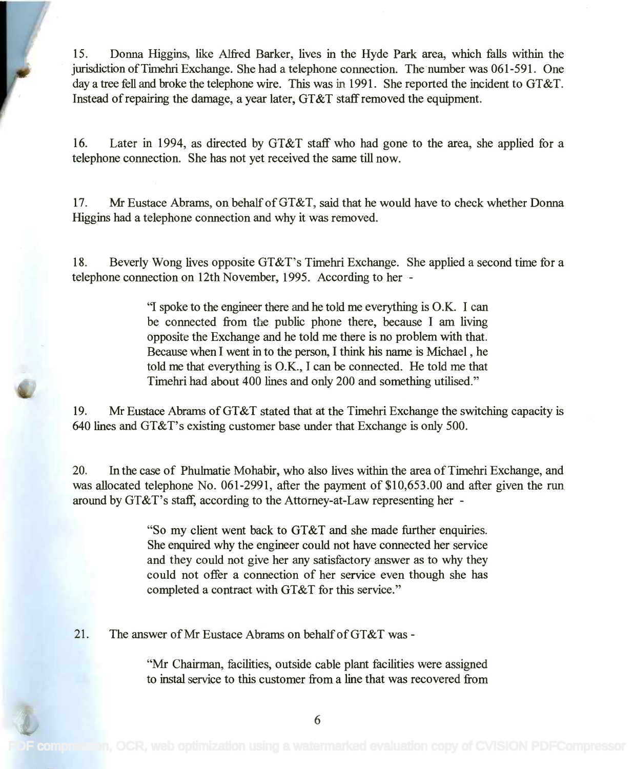15. Donna Higgins, like Alfred Barker, lives in the Hyde Park area, which falls within the 15. Donna Higgins, like Alfred Barker, lives in the Hyde Park area, which falls within the jurisdiction of Timehri Exchange. She had a telephone connection. The number was 061-591. One jurisdiction ofTimehri Exchange. She had a telephone connection. The number was 061-591. One day a tree fell and broke the telephone wire. This was in 1991. She reported the incident to GT&T. day a tree fell and broke the telephone wire. This was in 1991. She reported the incident to GT&T. Instead of repairing the damage, a year later, GT&T staff removed the equipment. Instead of repairing the damage, a year later, GT&T staff removed the equipment.

16. Later in 1994, as directed by GT&T staff who had gone to the area, she applied for a 16. Later in 1994, as directed by GT&T staff who had gone to the area, she applied for a telephone connection. She has not yet received the same till now. telephone connection. She has not yet received the same till now.

17. Mr Eustace Abrams, on behalf of GT&T, said that he would have to check whether Donna 17. Mr Eustace Abrams, on behalf of GT&T, said that he would have to check whether Donna Higgins had a telephone connection and why it was removed. Higgins had a telephone connection and why it was removed.

18. Beverly Wong lives opposite GT&T's Timehri Exchange. She applied a second time for a 18. Beverly Wong lives opposite GT&T's Timehri Exchange. She applied a second time for a telephone connection on 12th November, 1995. According to her - telephone connection on 12th November, 1995. According to her -

> "I spoke to the engineer there and he told me everything is O.K. I can "I spoke to the engineer there and he told me everything is O.K. I can be connected from the public phone there, because I am living opposite the Exchange and he told me there is no problem with that. opposite the Exchange and he told me there is no problem with that. Because when I went in to the person, I think his name is Michael , he Because when I went in to the person, I think his name is Michael, he told me that everything is O.K., I can be connected. He told me that Timehri had about 400 lines and only 200 and something utilised." Timehri had about 400 lines and only 200 and something utilised."

19. Mr Eustace Abrams of GT&T stated that at the Timehri Exchange the switching capacity is 19. Mr Eustace Abrams ofGT&T stated that at the Timehri Exchange the switching capacity is 640 lines and GT&T's existing customer base under that Exchange is only 500. 640 lines and GT&T's existing customer base under that Exchange is only 500.

20. In the case of Phulmatie Mohabir, who also lives within the area of Timehri Exchange, and 20. In the case of Phulmatie Mohabir, who also lives within the area of Timehri Exchange, and was allocated telephone No. 061-2991, after the payment of \$10,653.00 and after given the run was allocated telephone No. 061-2991, after the payment of \$10,653.00 and after given the run around by GT&T's staff, according to the Attorney-at-Law representing her - around by GT&T's staff, according to the Attorney-at-Law representing her -

> "So my client went back to GT&T and she made further enquiries. "So my client went back to GT&T and she made further enquiries. She enquired why the engineer could not have connected her service She enquired why the engineer could not have connected her service and they could not give her any satisfactory answer as to why they could not offer a connection of her service even though she has could not offer a connection of her service even though she has completed a contract with GT&T for this service." completed a contract with GT&T for this service."

21. The answer of Mr Eustace Abrams on behalf of GT&T was -

"Mr Chairman, facilities, outside cable plant facilities were assigned "Mr Chairman, facilities, outside cable plant facilities were assigned to instal service to this customer from a line that was recovered from to instal service to this customer from a line that was recovered from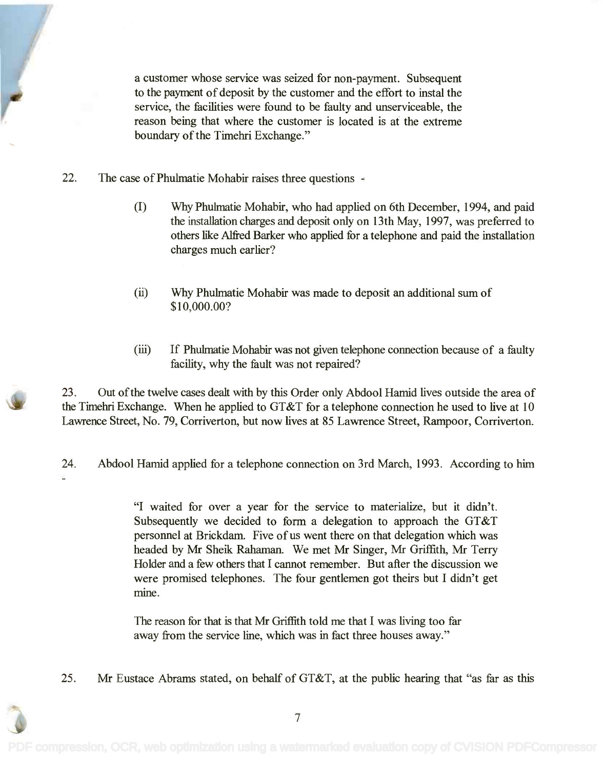a customer whose service was seized for non-payment. Subsequent a customer whose service was seized for non-payment. Subsequent to the payment of deposit by the customer and the effort to instal the service, the facilities were found to be faulty and unserviceable, the reason being that where the customer is located is at the extreme reason being that where the customer is located is at the extreme boundary of the Timehri Exchange." boundary of the Timehri Exchange."

- 22. The case of Phulmatie Mohabir raises three questions
	- (I) Why Phulmatie Mohabir, who had applied on 6th December, 1994, and paid (I) Why Phulmatie Mohabir, who had applied on 6th December, 1994, and paid the installation charges and deposit only on 13th May, 1997, was preferred to the installation charges and deposit only on 13th May, 1997, was preferred to others like Alfred Barker who applied for a telephone and paid the installation others like Alfred Barker who applied for a telephone and paid the installation charges much earlier? charges much earlier?
	- (ii) Why Phulmatie Mohabir was made to deposit an additional sum of (ii) Why Phulmatie Mohabir was made to deposit an additional sum of \$10,000.00? \$10,000.00?
	- (iii) If Phulmatie Mohabir was not given telephone connection because of a faulty facility, why the fault was not repaired? facility, why the fault was not repaired?

23. Out of the twelve cases dealt with by this Order only Abdool Hamid lives outside the area of 23. Out of the twelve cases dealt with by this Order only Abdool Hamid lives outside the area of the Timehri Exchange. When he applied to GT&T for a telephone connection he used to live at 10 the Timehri Exchange. When he applied to GT&T for a telephone connection he used to live at 10 Lawrence Street, No. 79, Corriverton, but now lives at 85 Lawrence Street, Rampoor, Corriverton. Lawrence Street, No. 79, Corriverton, but now lives at 85 Lawrence Street, Rampoor, Corriverton.

24. Abdool Hamid applied for a telephone connection on 3rd March, 1993. According to him

"I waited for over a year for the service to materialize, but it didn't. "I waited for over a year for the service to materialize, but it didn't. Subsequently we decided to form a delegation to approach the GT&T Subsequently we decided to form a delegation to approach the GT&T personnel at Brickdam. Five of us went there on that delegation which was personnel at Brickdam. Five of us went there on that delegation which was headed by Mr Sheik Rahaman. We met Mr Singer, Mr Griffith, Mr Terry headed by Mr Sheik Rahaman. We met Mr Singer, Mr Griffith, Mr Terry Holder and a few others that I cannot remember. But after the discussion we Holder and a few others that I cannot remember. But after the discussion we were promised telephones. The four gentlemen got theirs but I didn't get were promised telephones. The four gentlemen got theirs but I didn't get mine.

The reason for that is that Mr Griffith told me that I was living too far The reason for that is that Mr Griffith told me that I was living too far away from the service line, which was in fact three houses away." away from the service line, which was in fact three houses away."

25. Mr Eustace Abrams stated, on behalf of GT&T, at the public hearing that "as far as this

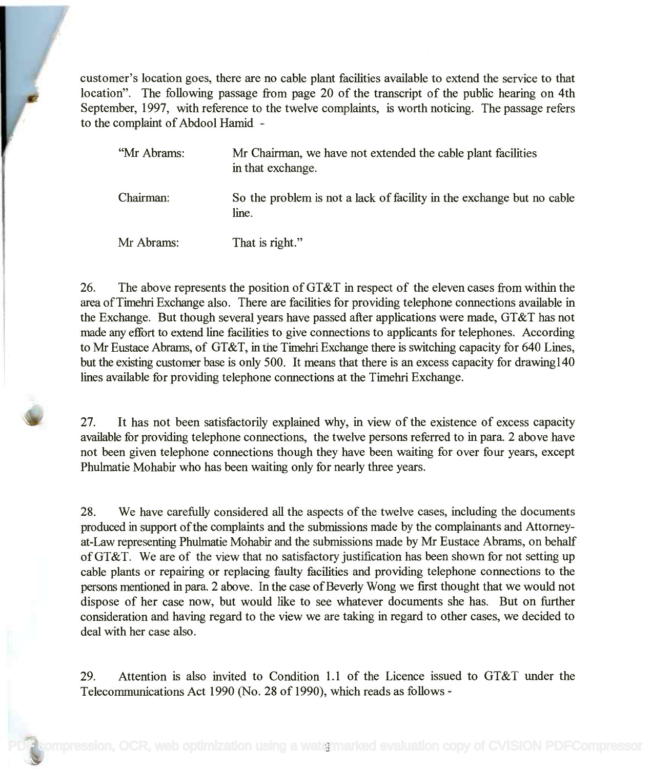customer's location goes, there are no cable plant facilities available to extend the service to that customer's location goes, there are no cable plant facilities available to extend the service to that location". The following passage from page 20 of the transcript of the public hearing on 4th location". The following passage from page 20 of the transcript of the public hearing on 4th September, 1997, with reference to the twelve complaints, is worth noticing. The passage refers September, 1997, with reference to the twelve complaints, is worth noticing. The passage refers to the complaint of Abdool Hamid - to the complaint of Abdool Hamid -

| "Mr Abrams: | Mr Chairman, we have not extended the cable plant facilities<br>in that exchange. |
|-------------|-----------------------------------------------------------------------------------|
| Chairman:   | So the problem is not a lack of facility in the exchange but no cable<br>line.    |
| Mr Abrams:  | That is right."                                                                   |

26. The above represents the position of GT&T in respect of the eleven cases from within the 26. The above represents the position of GT&T in respect of the eleven cases from within the area of Timehri Exchange also. There are facilities for providing telephone connections available in area of Timehri Exchange also. There are facilities for providing telephone connections available in the Exchange. But though several years have passed after applications were made, GT&T has not the Exchange. But though several years have passed after applications were made, GT&T has not made any effort to extend line facilities to give connections to applicants for telephones. According made any effort to extend line facilities to give connections to applicants for telephones. According to Mr Eustace Abrams, of GT&T, in the Timehri Exchange there is switching capacity for 640 Lines, to Mr Eustace Abrams, of GT&T, in the Timehri Exchange there is switching capacity for 640 Lines, but the existing customer base is only 500. It means that there is an excess capacity for drawing140 but the existing customer base is only 500. It means that there is an excess capacity for drawing140 lines available for providing telephone connections at the Timehri Exchange. lines available for providing telephone connections at the Timehri Exchange.

27. It has not been satisfactorily explained why, in view of the existence of excess capacity 27. It has not been satisfactorily explained why, in view of the existence of excess capacity available for providing telephone connections, the twelve persons referred to in para. 2 above have available for providing telephone connections, the twelve persons referred to in para. 2 above have not been given telephone connections though they have been waiting for over four years, except not been given telephone connections though they have been waiting for over four years, except Phulmatie Mohabir who has been waiting only for nearly three years. Phulmatie Mohabir who has been waiting only for nearly three years.

28. We have carefully considered all the aspects of the twelve cases, including the documents 28. We have carefully considered all the aspects of the twelve cases, including the documents produced in support of the complaints and the submissions made by the complainants and Attorney-produced in support of the complaints and the submissions made by the complainants and Attomeyat-Law representing Phulmatie Mohabir and the submissions made by Mr Eustace Abrams, on behalf at-Law representing Phulmatie Mohabir and the submissions made by Mr Eustace Abrams, on behalf of GT&T. We are of the view that no satisfactory justification has been shown for not setting up cable plants or repairing or replacing faulty facilities and providing telephone connections to the cable plants or repairing or replacing faulty facilities and providing telephone connections to the persons mentioned in para. 2 above. In the case of Beverly Wong we first thought that we would not persons mentioned in para. 2 above. In the case of Beverly Wong we first thought that we would not dispose of her case now, but would like to see whatever documents she has. But on further dispose of her case now, but would like to see whatever documents she has. But on further consideration and having regard to the view we are taking in regard to other cases, we decided to consideration and having regard to the view we are taking in regard to other cases, we decided to deal with her case also. deal with her case also.

29. Attention is also invited to Condition 1.1 of the Licence issued to GT&T under the 29. Attention is also invited to Condition 1.1 of the Licence issued to GT&T under the Telecommunications Act 1990 (No. 28 of 1990), which reads as follows - Telecommunications Act 1990 (No. 28 of 1990), which reads as follows -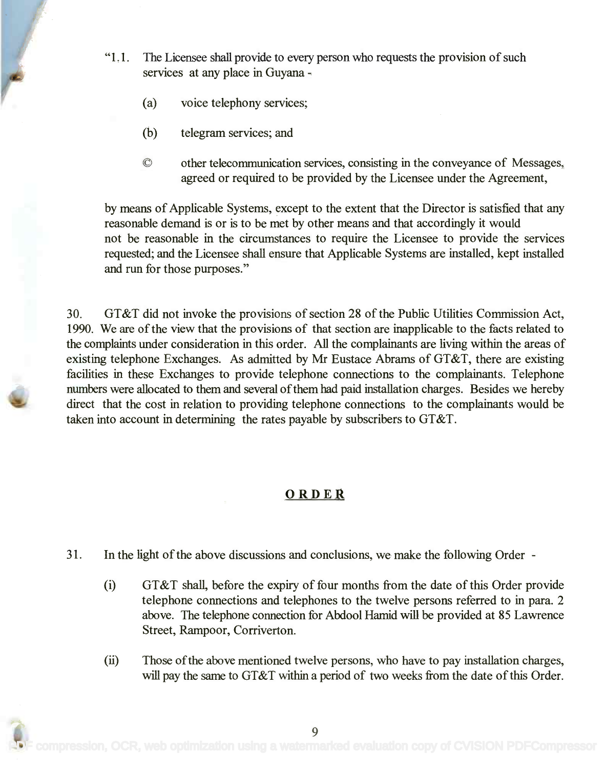- "1.1. The Licensee shall provide to every person who requests the provision of such "1.1. The Licensee shall provide to every person who requests the provision of such services at any place in Guyana -
	- (a) voice telephony services;
	- (b) telegram services; and
	- other telecommunication services, consisting in the conveyance of Messages, © other telecommunication services, consisting in the conveyance of Messages, agreed or required to be provided by the Licensee under the Agreement, agreed or required to be provided by the Licensee under the Agreement,

by means of Applicable Systems, except to the extent that the Director is satisfied that any by means of Applicable Systems, except to the extent that the Director is satisfied that any reasonable demand is or is to be met by other means and that accordingly it would not be reasonable in the circumstances to require the Licensee to provide the services not be reasonable in the circumstances to require the Licensee to provide the services requested; and the Licensee shall ensure that Applicable Systems are installed, kept installed requested; and the Licensee shall ensure that Applicable Systems are installed, kept installed and run for those purposes." and run for those purposes."

30. GT&T did not invoke the provisions of section 28 of the Public Utilities Commission Act, 30. GT&T did not invoke the provisions of section 28 of the Public Utilities Commission Act, 1990. We are of the view that the provisions of that section are inapplicable to the facts related to 1990. We are of the view that the provisions of that section are inapplicable to the facts related to the complaints under consideration in this order. All the complainants are living within the areas of existing telephone Exchanges. As admitted by Mr Eustace Abrams of GT&T, there are existing existing telephone Exchanges. As admitted by Mr Eustace Abrams of GT&T, there are existing facilities in these Exchanges to provide telephone connections to the complainants. Telephone facilities in these Exchanges to provide telephone connections to the complainants. Telephone numbers were allocated to them and several of them had paid installation charges. Besides we hereby numbers were allocated to them and several of them had paid installation charges. Besides we hereby direct that the cost in relation to providing telephone connections to the complainants would be direct that the cost in relation to providing telephone connections to the complainants would be taken into account in determining the rates payable by subscribers to GT&T. taken into account in determining the rates payable by subscribers to GT&T.

## ORDER

- 31. In the light of the above discussions and conclusions, we make the following Order
	- (i) GT&T shall, before the expiry of four months from the date of this Order provide telephone connections and telephones to the twelve persons referred to in para. 2 telephone connections and telephones to the twelve persons referred to in para. 2 above. The telephone connection for Abdool Hamid will be provided at 85 Lawrence above. The telephone connection for Abdool Hamid will be provided at 85 Lawrence Street, Rampoor, Corriverton. Street, Rampoor, Corriverton.
	- Those of the above mentioned twelve persons, who have to pay installation charges, (ii) Those of the above mentioned twelve persons, who have to pay installation charges, will pay the same to GT&T within a period of two weeks from the date of this Order. will pay the same to GT&T within a period of two weeks from the date of this Order.